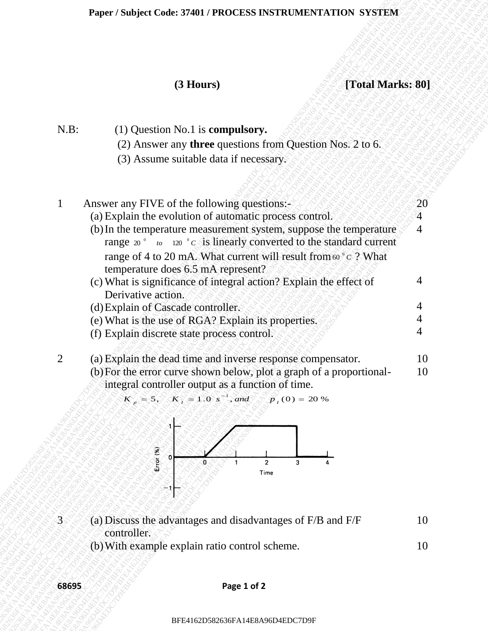| (3 Hours)<br>[Total Marks: 80]<br>$N.B$ :<br>$(1)$ Question No.1 is <b>compulsory.</b><br>(2) Answer any <b>three</b> questions from Question Nos. 2 to 6.<br>(3) Assume suitable data if necessary.<br>Answer any FIVE of the following questions:-<br>$\mathbf{1}$<br>(a) Explain the evolution of automatic process control.<br>$\overline{4}$<br>(b) In the temperature measurement system, suppose the temperature<br>$\overline{4}$<br>range $20^{\circ}$ to $120^{\circ}$ c is linearly converted to the standard current<br>range of 4 to 20 mA. What current will result from 60 ° c ? What<br>temperature does 6.5 mA represent?<br>(c) What is significance of integral action? Explain the effect of<br>4<br>Derivative action.<br>4<br>(d) Explain of Cascade controller.<br>(e) What is the use of RGA? Explain its properties.<br>4<br>(f) Explain discrete state process control.<br>$\overline{2}$<br>(a) Explain the dead time and inverse response compensator.<br>(b) For the error curve shown below, plot a graph of a proportional-<br>integral controller output as a function of time.<br>$K_p = 5$ , $K_1 = 1.0 s^{-1}$ , and $p_1(0) = 20 %$<br>Error(%)<br>$\overline{2}$<br>3<br>Time<br>÷.<br>$\overline{3}$<br>(a) Discuss the advantages and disadvantages of F/B and F/F<br>controller.<br>(b) With example explain ratio control scheme.<br>68695<br>Page 1 of 2 |          |
|----------------------------------------------------------------------------------------------------------------------------------------------------------------------------------------------------------------------------------------------------------------------------------------------------------------------------------------------------------------------------------------------------------------------------------------------------------------------------------------------------------------------------------------------------------------------------------------------------------------------------------------------------------------------------------------------------------------------------------------------------------------------------------------------------------------------------------------------------------------------------------------------------------------------------------------------------------------------------------------------------------------------------------------------------------------------------------------------------------------------------------------------------------------------------------------------------------------------------------------------------------------------------------------------------------------------------------------------------------------------------------------------------|----------|
|                                                                                                                                                                                                                                                                                                                                                                                                                                                                                                                                                                                                                                                                                                                                                                                                                                                                                                                                                                                                                                                                                                                                                                                                                                                                                                                                                                                                    |          |
|                                                                                                                                                                                                                                                                                                                                                                                                                                                                                                                                                                                                                                                                                                                                                                                                                                                                                                                                                                                                                                                                                                                                                                                                                                                                                                                                                                                                    |          |
|                                                                                                                                                                                                                                                                                                                                                                                                                                                                                                                                                                                                                                                                                                                                                                                                                                                                                                                                                                                                                                                                                                                                                                                                                                                                                                                                                                                                    |          |
|                                                                                                                                                                                                                                                                                                                                                                                                                                                                                                                                                                                                                                                                                                                                                                                                                                                                                                                                                                                                                                                                                                                                                                                                                                                                                                                                                                                                    |          |
|                                                                                                                                                                                                                                                                                                                                                                                                                                                                                                                                                                                                                                                                                                                                                                                                                                                                                                                                                                                                                                                                                                                                                                                                                                                                                                                                                                                                    | 20       |
|                                                                                                                                                                                                                                                                                                                                                                                                                                                                                                                                                                                                                                                                                                                                                                                                                                                                                                                                                                                                                                                                                                                                                                                                                                                                                                                                                                                                    |          |
|                                                                                                                                                                                                                                                                                                                                                                                                                                                                                                                                                                                                                                                                                                                                                                                                                                                                                                                                                                                                                                                                                                                                                                                                                                                                                                                                                                                                    |          |
|                                                                                                                                                                                                                                                                                                                                                                                                                                                                                                                                                                                                                                                                                                                                                                                                                                                                                                                                                                                                                                                                                                                                                                                                                                                                                                                                                                                                    |          |
|                                                                                                                                                                                                                                                                                                                                                                                                                                                                                                                                                                                                                                                                                                                                                                                                                                                                                                                                                                                                                                                                                                                                                                                                                                                                                                                                                                                                    |          |
|                                                                                                                                                                                                                                                                                                                                                                                                                                                                                                                                                                                                                                                                                                                                                                                                                                                                                                                                                                                                                                                                                                                                                                                                                                                                                                                                                                                                    | 10<br>10 |
|                                                                                                                                                                                                                                                                                                                                                                                                                                                                                                                                                                                                                                                                                                                                                                                                                                                                                                                                                                                                                                                                                                                                                                                                                                                                                                                                                                                                    |          |
|                                                                                                                                                                                                                                                                                                                                                                                                                                                                                                                                                                                                                                                                                                                                                                                                                                                                                                                                                                                                                                                                                                                                                                                                                                                                                                                                                                                                    | 10       |
|                                                                                                                                                                                                                                                                                                                                                                                                                                                                                                                                                                                                                                                                                                                                                                                                                                                                                                                                                                                                                                                                                                                                                                                                                                                                                                                                                                                                    | 10       |
|                                                                                                                                                                                                                                                                                                                                                                                                                                                                                                                                                                                                                                                                                                                                                                                                                                                                                                                                                                                                                                                                                                                                                                                                                                                                                                                                                                                                    |          |



- $3 \leq \leq$  (a) Discuss the advantages and disadvantages of F/B and F/F controller. 10 10
	- (b)With example explain ratio control scheme.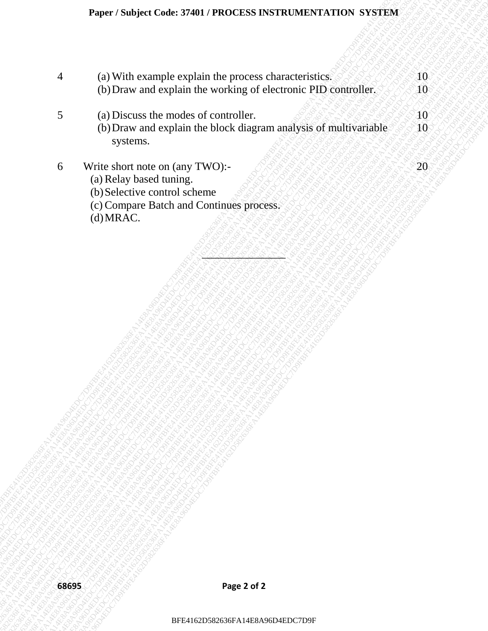| (a) With example explain the process characteristics.<br>$\overline{4}$<br>(b) Draw and explain the working of electronic PID controller.<br>5<br>(a) Discuss the modes of controller.<br>(b) Draw and explain the block diagram analysis of multivariable<br>systems.<br>6<br>Write short note on (any TWO):-<br>(a) Relay based tuning.<br>(b) Selective control scheme<br>(c) Compare Batch and Continues process.<br>(d) MRAC.<br>Page 2 of 2<br>68695<br>BFE4162D582636FA14E8A96D4EDC7D9F | Paper / Subject Code: 37401 / PROCESS INSTRUMENTATION SYSTEM |                  |
|------------------------------------------------------------------------------------------------------------------------------------------------------------------------------------------------------------------------------------------------------------------------------------------------------------------------------------------------------------------------------------------------------------------------------------------------------------------------------------------------|--------------------------------------------------------------|------------------|
|                                                                                                                                                                                                                                                                                                                                                                                                                                                                                                |                                                              | 10               |
|                                                                                                                                                                                                                                                                                                                                                                                                                                                                                                |                                                              | 10 <sup>°</sup>  |
|                                                                                                                                                                                                                                                                                                                                                                                                                                                                                                |                                                              | $40^\circ$<br>10 |
|                                                                                                                                                                                                                                                                                                                                                                                                                                                                                                |                                                              | 20               |
|                                                                                                                                                                                                                                                                                                                                                                                                                                                                                                |                                                              |                  |
|                                                                                                                                                                                                                                                                                                                                                                                                                                                                                                |                                                              |                  |
|                                                                                                                                                                                                                                                                                                                                                                                                                                                                                                |                                                              |                  |
|                                                                                                                                                                                                                                                                                                                                                                                                                                                                                                |                                                              |                  |
|                                                                                                                                                                                                                                                                                                                                                                                                                                                                                                |                                                              |                  |
|                                                                                                                                                                                                                                                                                                                                                                                                                                                                                                |                                                              |                  |
|                                                                                                                                                                                                                                                                                                                                                                                                                                                                                                |                                                              |                  |
|                                                                                                                                                                                                                                                                                                                                                                                                                                                                                                |                                                              |                  |
|                                                                                                                                                                                                                                                                                                                                                                                                                                                                                                |                                                              |                  |
|                                                                                                                                                                                                                                                                                                                                                                                                                                                                                                |                                                              |                  |
|                                                                                                                                                                                                                                                                                                                                                                                                                                                                                                |                                                              |                  |
|                                                                                                                                                                                                                                                                                                                                                                                                                                                                                                |                                                              |                  |
|                                                                                                                                                                                                                                                                                                                                                                                                                                                                                                |                                                              |                  |
|                                                                                                                                                                                                                                                                                                                                                                                                                                                                                                |                                                              |                  |
|                                                                                                                                                                                                                                                                                                                                                                                                                                                                                                |                                                              |                  |
|                                                                                                                                                                                                                                                                                                                                                                                                                                                                                                |                                                              |                  |
|                                                                                                                                                                                                                                                                                                                                                                                                                                                                                                |                                                              |                  |
|                                                                                                                                                                                                                                                                                                                                                                                                                                                                                                |                                                              |                  |
|                                                                                                                                                                                                                                                                                                                                                                                                                                                                                                |                                                              |                  |

- 6 Write short note on (any TWO):-
	- (a) Relay based tuning.
	- (b)Selective control scheme
	- (c) Compare Batch and Continues process.
	- (d)MRAC.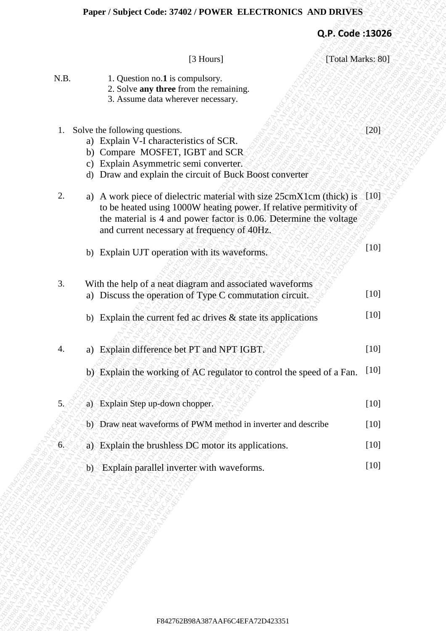| [Total Marks: 80]<br>[3 Hours]<br>1. Question no.1 is compulsory.<br>2. Solve any three from the remaining.<br>3. Assume data wherever necessary.<br>1. Solve the following questions.<br>a) Explain V-I characteristics of SCR.<br>b) Compare MOSFET, IGBT and SCR<br>c) Explain Asymmetric semi converter.<br>d) Draw and explain the circuit of Buck Boost converter<br>2.<br>a) A work piece of dielectric material with size $25cmX1cm$ (thick) is [10]<br>to be heated using 1000W heating power. If relative permitivity of<br>the material is 4 and power factor is 0.06. Determine the voltage<br>and current necessary at frequency of 40Hz.<br>b) Explain UJT operation with its waveforms.<br>3.<br>With the help of a neat diagram and associated waveforms<br>a) Discuss the operation of Type C commutation circuit.<br>b) Explain the current fed ac drives $&$ state its applications<br>a) Explain difference bet PT and NPT IGBT.<br>4.<br>b) Explain the working of AC regulator to control the speed of a Fan.<br>a) Explain Step up-down chopper.<br>5.<br>b) Draw neat waveforms of PWM method in inverter and describe<br>a) Explain the brushless DC motor its applications.<br>6.4<br>b) Explain parallel inverter with waveforms. |      | Q.P. Code: 13026 |        |
|--------------------------------------------------------------------------------------------------------------------------------------------------------------------------------------------------------------------------------------------------------------------------------------------------------------------------------------------------------------------------------------------------------------------------------------------------------------------------------------------------------------------------------------------------------------------------------------------------------------------------------------------------------------------------------------------------------------------------------------------------------------------------------------------------------------------------------------------------------------------------------------------------------------------------------------------------------------------------------------------------------------------------------------------------------------------------------------------------------------------------------------------------------------------------------------------------------------------------------------------------------------|------|------------------|--------|
|                                                                                                                                                                                                                                                                                                                                                                                                                                                                                                                                                                                                                                                                                                                                                                                                                                                                                                                                                                                                                                                                                                                                                                                                                                                              |      |                  |        |
|                                                                                                                                                                                                                                                                                                                                                                                                                                                                                                                                                                                                                                                                                                                                                                                                                                                                                                                                                                                                                                                                                                                                                                                                                                                              | N.B. |                  |        |
|                                                                                                                                                                                                                                                                                                                                                                                                                                                                                                                                                                                                                                                                                                                                                                                                                                                                                                                                                                                                                                                                                                                                                                                                                                                              |      |                  | $[20]$ |
|                                                                                                                                                                                                                                                                                                                                                                                                                                                                                                                                                                                                                                                                                                                                                                                                                                                                                                                                                                                                                                                                                                                                                                                                                                                              |      |                  |        |
|                                                                                                                                                                                                                                                                                                                                                                                                                                                                                                                                                                                                                                                                                                                                                                                                                                                                                                                                                                                                                                                                                                                                                                                                                                                              |      |                  | $[10]$ |
|                                                                                                                                                                                                                                                                                                                                                                                                                                                                                                                                                                                                                                                                                                                                                                                                                                                                                                                                                                                                                                                                                                                                                                                                                                                              |      |                  | $[10]$ |
|                                                                                                                                                                                                                                                                                                                                                                                                                                                                                                                                                                                                                                                                                                                                                                                                                                                                                                                                                                                                                                                                                                                                                                                                                                                              |      |                  | $[10]$ |
|                                                                                                                                                                                                                                                                                                                                                                                                                                                                                                                                                                                                                                                                                                                                                                                                                                                                                                                                                                                                                                                                                                                                                                                                                                                              |      |                  | $[10]$ |
|                                                                                                                                                                                                                                                                                                                                                                                                                                                                                                                                                                                                                                                                                                                                                                                                                                                                                                                                                                                                                                                                                                                                                                                                                                                              |      |                  | $[10]$ |
|                                                                                                                                                                                                                                                                                                                                                                                                                                                                                                                                                                                                                                                                                                                                                                                                                                                                                                                                                                                                                                                                                                                                                                                                                                                              |      |                  | $[10]$ |
|                                                                                                                                                                                                                                                                                                                                                                                                                                                                                                                                                                                                                                                                                                                                                                                                                                                                                                                                                                                                                                                                                                                                                                                                                                                              |      |                  | $[10]$ |
|                                                                                                                                                                                                                                                                                                                                                                                                                                                                                                                                                                                                                                                                                                                                                                                                                                                                                                                                                                                                                                                                                                                                                                                                                                                              |      |                  | $[10]$ |
|                                                                                                                                                                                                                                                                                                                                                                                                                                                                                                                                                                                                                                                                                                                                                                                                                                                                                                                                                                                                                                                                                                                                                                                                                                                              |      |                  | $[10]$ |
|                                                                                                                                                                                                                                                                                                                                                                                                                                                                                                                                                                                                                                                                                                                                                                                                                                                                                                                                                                                                                                                                                                                                                                                                                                                              |      |                  |        |
|                                                                                                                                                                                                                                                                                                                                                                                                                                                                                                                                                                                                                                                                                                                                                                                                                                                                                                                                                                                                                                                                                                                                                                                                                                                              |      |                  |        |
|                                                                                                                                                                                                                                                                                                                                                                                                                                                                                                                                                                                                                                                                                                                                                                                                                                                                                                                                                                                                                                                                                                                                                                                                                                                              |      |                  |        |
|                                                                                                                                                                                                                                                                                                                                                                                                                                                                                                                                                                                                                                                                                                                                                                                                                                                                                                                                                                                                                                                                                                                                                                                                                                                              |      |                  |        |
|                                                                                                                                                                                                                                                                                                                                                                                                                                                                                                                                                                                                                                                                                                                                                                                                                                                                                                                                                                                                                                                                                                                                                                                                                                                              |      |                  |        |
|                                                                                                                                                                                                                                                                                                                                                                                                                                                                                                                                                                                                                                                                                                                                                                                                                                                                                                                                                                                                                                                                                                                                                                                                                                                              |      |                  |        |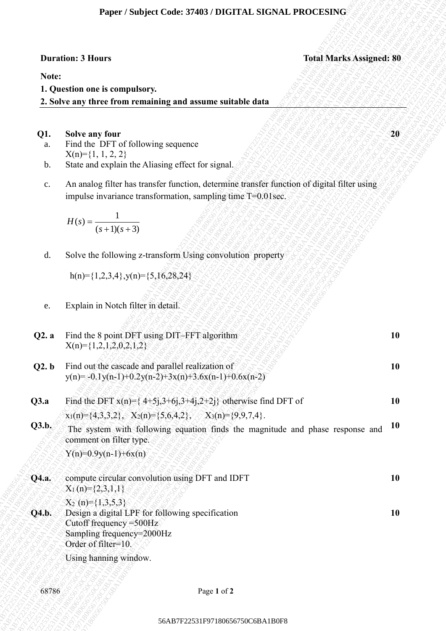### **Paper / Subject Code: 37403 / DIGITAL SIGNAL PROCESING**

# **Duration: 3 Hours Contract Contract Contract Contract Contract Contract Contract Contract Contract Contract Contract Contract Contract Contract Contract Contract Contract Contract Contract Contract Contract Contract Contr**

#### **Note:**

### **Q1. Solve any four 20**

- a. Find the DFT of following sequence  $X(n)=\{1, 1, 2, 2\}$
- b. State and explain the Aliasing effect for signal.
- c. An analog filter has transfer function, determine transfer function of digital filter using impulse invariance transformation, sampling time T=0.01sec.

$$
H(s) = \frac{1}{(s+1)(s+3)}
$$

| Note:<br>1. Question one is compulsory.<br>2. Solve any three from remaining and assume suitable data<br>Q1.<br>Solve any four<br>Find the DFT of following sequence<br>a.<br>$X(n)=\{1, 1, 2, 2\}$<br>State and explain the Aliasing effect for signal.<br>$\mathbf b$ .<br>An analog filter has transfer function, determine transfer function of digital filter using<br>$\mathbf{C}$ .<br>impulse invariance transformation, sampling time T=0.01sec.<br>$H(s) = \frac{1}{(s+1)(s+3)}$<br>Solve the following z-transform Using convolution property<br>d.<br>$h(n)=\{1,2,3,4\}$ , $y(n)=\{5,16,28,24\}$<br>Explain in Notch filter in detail.<br>e.<br>Find the 8 point DFT using DIT-FFT algorithm<br>$X(n)=\{1,2,1,2,0,2,1,2\}$<br>Find out the cascade and parallel realization of<br>10<br>Q2. b<br>$y(n) = -0.1y(n-1)+0.2y(n-2)+3x(n)+3.6x(n-1)+0.6x(n-2)$<br>Find the DFT $x(n) = \{4+5j,3+6j,3+4j,2+2j\}$ otherwise find DFT of<br>$x_1(n) = \{4,3,3,2\}, \quad X_2(n) = \{5,6,4,2\}, \quad X_3(n) = \{9,9,7,4\}.$<br>The system with following equation finds the magnitude and phase response and<br>comment on filter type.<br>$Y(n)=0.9y(n-1)+6x(n)$<br>compute circular convolution using DFT and IDFT<br>Q4.a.<br>$X_1(n)=\{2,3,1,1\}$<br>$X_2(n)=\{1,3,5,3\}$<br>Design a digital LPF for following specification<br>Cutoff frequency = $500$ Hz<br>Sampling frequency=2000Hz<br>Order of filter=10.<br>Using hanning window.<br>68786<br>Page 1 of 2 |       | <b>Duration: 3 Hours</b> | <b>Total Marks Assigned: 80</b> |
|--------------------------------------------------------------------------------------------------------------------------------------------------------------------------------------------------------------------------------------------------------------------------------------------------------------------------------------------------------------------------------------------------------------------------------------------------------------------------------------------------------------------------------------------------------------------------------------------------------------------------------------------------------------------------------------------------------------------------------------------------------------------------------------------------------------------------------------------------------------------------------------------------------------------------------------------------------------------------------------------------------------------------------------------------------------------------------------------------------------------------------------------------------------------------------------------------------------------------------------------------------------------------------------------------------------------------------------------------------------------------------------------------------------------------------------------------------------------------|-------|--------------------------|---------------------------------|
|                                                                                                                                                                                                                                                                                                                                                                                                                                                                                                                                                                                                                                                                                                                                                                                                                                                                                                                                                                                                                                                                                                                                                                                                                                                                                                                                                                                                                                                                          |       |                          |                                 |
|                                                                                                                                                                                                                                                                                                                                                                                                                                                                                                                                                                                                                                                                                                                                                                                                                                                                                                                                                                                                                                                                                                                                                                                                                                                                                                                                                                                                                                                                          |       |                          |                                 |
|                                                                                                                                                                                                                                                                                                                                                                                                                                                                                                                                                                                                                                                                                                                                                                                                                                                                                                                                                                                                                                                                                                                                                                                                                                                                                                                                                                                                                                                                          |       |                          |                                 |
|                                                                                                                                                                                                                                                                                                                                                                                                                                                                                                                                                                                                                                                                                                                                                                                                                                                                                                                                                                                                                                                                                                                                                                                                                                                                                                                                                                                                                                                                          |       |                          |                                 |
|                                                                                                                                                                                                                                                                                                                                                                                                                                                                                                                                                                                                                                                                                                                                                                                                                                                                                                                                                                                                                                                                                                                                                                                                                                                                                                                                                                                                                                                                          |       |                          | 20                              |
|                                                                                                                                                                                                                                                                                                                                                                                                                                                                                                                                                                                                                                                                                                                                                                                                                                                                                                                                                                                                                                                                                                                                                                                                                                                                                                                                                                                                                                                                          |       |                          |                                 |
|                                                                                                                                                                                                                                                                                                                                                                                                                                                                                                                                                                                                                                                                                                                                                                                                                                                                                                                                                                                                                                                                                                                                                                                                                                                                                                                                                                                                                                                                          |       |                          |                                 |
|                                                                                                                                                                                                                                                                                                                                                                                                                                                                                                                                                                                                                                                                                                                                                                                                                                                                                                                                                                                                                                                                                                                                                                                                                                                                                                                                                                                                                                                                          |       |                          |                                 |
|                                                                                                                                                                                                                                                                                                                                                                                                                                                                                                                                                                                                                                                                                                                                                                                                                                                                                                                                                                                                                                                                                                                                                                                                                                                                                                                                                                                                                                                                          |       |                          |                                 |
|                                                                                                                                                                                                                                                                                                                                                                                                                                                                                                                                                                                                                                                                                                                                                                                                                                                                                                                                                                                                                                                                                                                                                                                                                                                                                                                                                                                                                                                                          |       |                          |                                 |
|                                                                                                                                                                                                                                                                                                                                                                                                                                                                                                                                                                                                                                                                                                                                                                                                                                                                                                                                                                                                                                                                                                                                                                                                                                                                                                                                                                                                                                                                          |       |                          |                                 |
|                                                                                                                                                                                                                                                                                                                                                                                                                                                                                                                                                                                                                                                                                                                                                                                                                                                                                                                                                                                                                                                                                                                                                                                                                                                                                                                                                                                                                                                                          |       |                          |                                 |
|                                                                                                                                                                                                                                                                                                                                                                                                                                                                                                                                                                                                                                                                                                                                                                                                                                                                                                                                                                                                                                                                                                                                                                                                                                                                                                                                                                                                                                                                          |       |                          |                                 |
|                                                                                                                                                                                                                                                                                                                                                                                                                                                                                                                                                                                                                                                                                                                                                                                                                                                                                                                                                                                                                                                                                                                                                                                                                                                                                                                                                                                                                                                                          |       |                          |                                 |
|                                                                                                                                                                                                                                                                                                                                                                                                                                                                                                                                                                                                                                                                                                                                                                                                                                                                                                                                                                                                                                                                                                                                                                                                                                                                                                                                                                                                                                                                          | Q2. a |                          | 10                              |
|                                                                                                                                                                                                                                                                                                                                                                                                                                                                                                                                                                                                                                                                                                                                                                                                                                                                                                                                                                                                                                                                                                                                                                                                                                                                                                                                                                                                                                                                          |       |                          |                                 |
|                                                                                                                                                                                                                                                                                                                                                                                                                                                                                                                                                                                                                                                                                                                                                                                                                                                                                                                                                                                                                                                                                                                                                                                                                                                                                                                                                                                                                                                                          |       |                          |                                 |
|                                                                                                                                                                                                                                                                                                                                                                                                                                                                                                                                                                                                                                                                                                                                                                                                                                                                                                                                                                                                                                                                                                                                                                                                                                                                                                                                                                                                                                                                          | Q3.a  |                          | 10                              |
|                                                                                                                                                                                                                                                                                                                                                                                                                                                                                                                                                                                                                                                                                                                                                                                                                                                                                                                                                                                                                                                                                                                                                                                                                                                                                                                                                                                                                                                                          |       |                          |                                 |
|                                                                                                                                                                                                                                                                                                                                                                                                                                                                                                                                                                                                                                                                                                                                                                                                                                                                                                                                                                                                                                                                                                                                                                                                                                                                                                                                                                                                                                                                          | Q3.b. |                          | <b>10</b>                       |
|                                                                                                                                                                                                                                                                                                                                                                                                                                                                                                                                                                                                                                                                                                                                                                                                                                                                                                                                                                                                                                                                                                                                                                                                                                                                                                                                                                                                                                                                          |       |                          |                                 |
|                                                                                                                                                                                                                                                                                                                                                                                                                                                                                                                                                                                                                                                                                                                                                                                                                                                                                                                                                                                                                                                                                                                                                                                                                                                                                                                                                                                                                                                                          |       |                          | 10                              |
|                                                                                                                                                                                                                                                                                                                                                                                                                                                                                                                                                                                                                                                                                                                                                                                                                                                                                                                                                                                                                                                                                                                                                                                                                                                                                                                                                                                                                                                                          |       |                          |                                 |
|                                                                                                                                                                                                                                                                                                                                                                                                                                                                                                                                                                                                                                                                                                                                                                                                                                                                                                                                                                                                                                                                                                                                                                                                                                                                                                                                                                                                                                                                          |       |                          |                                 |
|                                                                                                                                                                                                                                                                                                                                                                                                                                                                                                                                                                                                                                                                                                                                                                                                                                                                                                                                                                                                                                                                                                                                                                                                                                                                                                                                                                                                                                                                          | Q4.b. |                          | 10                              |
|                                                                                                                                                                                                                                                                                                                                                                                                                                                                                                                                                                                                                                                                                                                                                                                                                                                                                                                                                                                                                                                                                                                                                                                                                                                                                                                                                                                                                                                                          |       |                          |                                 |
|                                                                                                                                                                                                                                                                                                                                                                                                                                                                                                                                                                                                                                                                                                                                                                                                                                                                                                                                                                                                                                                                                                                                                                                                                                                                                                                                                                                                                                                                          |       |                          |                                 |
|                                                                                                                                                                                                                                                                                                                                                                                                                                                                                                                                                                                                                                                                                                                                                                                                                                                                                                                                                                                                                                                                                                                                                                                                                                                                                                                                                                                                                                                                          |       |                          |                                 |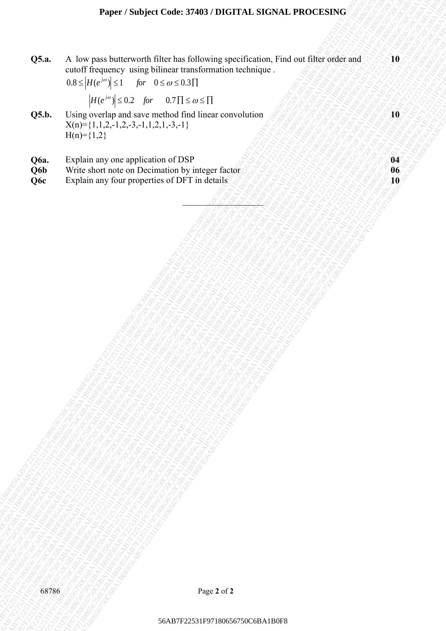## **Paper / Subject Code: 37403 / DIGITAL SIGNAL PROCESING**

A low pass haddcrearth filter bas following specification, Find out Due wides and<br>
D.68 Hpr ( $x^2$ ) Extra form and sonce tracks of the distance tracks of the state control and solve the state control and sonce tracks of t 56AB7F22531F97180656750C6BA1B0F856AB7F22531F97180656750C6BA1B0F856AB7F22531F97180656750C6BA1B0F856AB7F22531F97180656750C6BA1B0F856AB7F22531F97180656750C6BA1B0F856AB7F22531F97180656750C6BA1B0F8 56AB7F225197180657676750C6BA1B0F87180718065686768AB7F2251507180676345000118066760066760C6BA1B0F871806764676467668<br>F22531F2254719180718061806750C6BA1B0F87180618066750C6BA1B0F8718064750C6BA1B0F8718064750C6BA1B0F8718064750C6 56AB7F22531F97180676718150c6Ba1B12670678718067687684B766AB7F22531F971806564B7F2251F22531F9718071806564B7F2251F2251F971807180656750C6BA1B0F856AB7F2251F22531F971807180656750C6BA1B0F856AB7F2251F22531F97180656750C6BA1B0F856AB **CSA.** A low much lintermorth Hilter have finder interded contact the contact of the state of the contact of the state of the contact of the state of the contact of the contact of the contact of the contact of the contact **OSA** A tor park homeworth files has following such family and the outflow of the state consideration of the state consideration of the state of the state of the state of the state of the state of the state of the state o F226F7. Super College ABRACTION: TACA-INSAN FROM FINITE 2013<br>
ORA R A long pass ballow over the condition material method on the condition material of the film with the condition material of the condition material of the **F235**<br>**F2253** A. low pass better worth filter has following insulferation, Find our filter order and<br>could singured the channel balance in the control of the control of the control of the control of the control of the co **F2253**<br>F9725750C6F7250C6BA1B0F87180657676250C6BA1B0F871806750C6BA1B0F87180656766750C6BA1B0F871806564AB7F22531F9718065150C6BA1B0F8718065750C6BA1B0F231F31506750C6BA1B0F871806570C6BA1B0F231F315173173173173173173173173173173 **F2253**<br> **F225**<br> **F225**<br> **F225**<br> **F225**<br> **F225**<br> **F225**<br> **F225**<br> **F225**<br> **F225**<br> **F225**<br> **F225**<br> **F225**<br> **F225**<br> **F225**<br> **F225**<br> **F225**<br> **F225**<br> **F225**<br> **F225**<br> **F225**<br> **F225**<br> **F225**<br> **F225**<br> **F225**<br> **F225**<br> **F225**<br> **F22** Faxor: Seabyer Code: 37408 / TNCTTAI: SIGNALP PROCESSING<br>
CS.  $A_n = A_n$  for more hardward with large and the following specification. The developed and the strainer of the strainer control in the control interpretation of t Faper / Subject Code: 37463/1910CFTAL SIGNAL PROCESSING<br>
56. A. Jose page bottom con his kinema balance aperture and such a streage of the streage of the streage of the streage of the streage of the streage of the streage Fager i Subject Code: 37408 i Distribut, SiGNAL PROCESSING<br>
OSA. A. York parameter with Nicolas Reference with Nicolas Region and The Control of Distribution Control of<br>
UP ( $\frac{1}{2}$ - $\frac{1}{2}$ - $\frac{1}{2}$ - $\frac{1}{2}$ - $\frac{1}{2$ F24per 7 Studyert Code: 37403 7 DIGTHAL SRESAL PROCESSING<br>
OS.A. A long interdes completions with birth considerations and considerations of the constraints of the considerations of the considerations of the consideration Fuguer / Statigest Civile, 37403 / Diversion, Figuer Metalah, 1971806768<br>
OSA - A low pass button of filter bat following specification, Fisk out filter oriental and in the statistical ministers cannot diversify and  $|W^*$ 56AB7F22531F97180656750C6BA1B0F856AB7F22531F97180656750C6BA1B0F856AB7F22531F97180656750C6BA1B0F856AB7F22531F97180656750C6BA1B0F856AB7F22531F97180656750C6BA1B0F856AB7F22531F97180656750C6BA1B0F8 **Fagrer / Subject Code. 3744(3) FINGTRAL STGSNAL PROGENSING**<br>F25. A low procedure uning bilinear transformation contained. Find out files only and<br>note through contained in the set of set of set of set of set of set<br> $\frac{1$ Farger / Stolyet Code: 37403 / DIGITAL SIGNAL PROCESSING<br>
OS.A. A low protecty using bilinear instancements of change.<br>  $0.558 \cdot H(t^{-1/2}t) = 1/e \cdot 50.666331$ <br>  $0.58 \cdot H(t^{-1/2}t) = 1/e \cdot 50.666331$ <br>  $0.58 \cdot H(t^{-1/2}t) = 2.5 \cdot 50.954$ **Faper: Sinkjeet Code: 37403 / DIGITAL SIGNAL PROCESING**<br> **56.6** A low pass butters with filter kan following specification, line to still decade and<br>  $0.85 \times H/(r^2/3)$  *Line* 2.6 a  $6.715 \times 6.17$ <br> **36.8** U.1.2 min and sev **Fager / Subject Code: 37483 / DEGTA1. SGCSAL PROCESING**<br> **OS.** A low peach barrow in the last function track process and<br>  $0.86$  Holdy  $^{-1}$ 25 1 For  $^{-1}$  8.68 6281<br> **OS.** Write when the start with the first time convolu **Q5.a.** A low pass butterworth filter has following specification, Find out filter order and cutoff frequency using bilinear transformation technique . **10**

\_\_\_\_\_\_\_\_\_\_\_\_\_\_\_\_\_\_

$$
0.8 \le |H(e^{j\omega})| \le 1 \quad \text{for} \quad 0 \le \omega \le 0.3 \prod
$$

$$
|H(e^{j\omega})| \le 0.2 \quad \text{for} \quad 0.7 \Pi \le \omega \le \Pi
$$

- **Q5.b.** Using overlap and save method find linear convolution  $X(n)=\{1,1,2,-1,2,-3,-1,1,2,1,-3,-1\}$  $H(n)=\{1,2\}$
- 
- **Q6a.** Explain any one application of DSP<br> **Q6b** Write short note on Decimation by integer factor and the state of the state of the state of the **06 Write short note on Decimation by integer factor 860 100 06**
- **Q6c** Explain any four properties of DFT in details **10**

**10**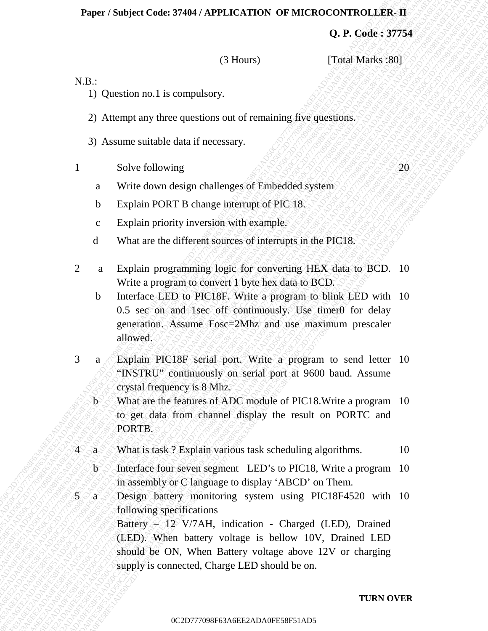#### **Paper / Subject Code: 37404 / APPLICATION OF MICROCONTROLLER- II**

**Q. P. Code : 37754**

(3 Hours) [Total Marks :80]

N.B.:

- 1) Question no.1 is compulsory.
- 2) Attempt any three questions out of remaining five questions.
- 3) Assume suitable data if necessary.
- 1 Solve following  $S \to S \to S \to S \to S \to S \to S \to S$ 
	- a Write down design challenges of Embedded system
	- b Explain PORT B change interrupt of PIC 18.
	- c Explain priority inversion with example.
	- d What are the different sources of interrupts in the PIC18.
- 2 a Explain programming logic for converting HEX data to BCD. 10 Write a program to convert 1 byte hex data to BCD.
- b Interface LED to PIC18F. Write a program to blink LED with 10 0.5 sec on and 1sec off continuously. Use timer0 for delay generation. Assume Fosc=2Mhz and use maximum prescaler allowed.
- 3 a Explain PIC18F serial port. Write a program to send letter 10 "INSTRU" continuously on serial port at 9600 baud. Assume crystal frequency is 8 Mhz.
- $\circ$  b  $\circ$  What are the features of ADC module of PIC18. Write a program 10 to get data from channel display the result on PORTC and PORTB.
- $4^\circ$  a What is task ? Explain various task scheduling algorithms. 10
- $\otimes$  b Interface four seven segment LED's to PIC18, Write a program 10 in assembly or C language to display 'ABCD' on Them.
- **Example 1** Control of the control of the control of the control of the control of the control of the control of the control of the control of the control of the control of the control of the control of the control of th **Piper / Statjer Code: 37484 / APPLICATION OF MICROATIERS.**<br>
(3) Horses and 1798 (1798)<br>
(3) Horses and a computery.<br>
2) Alexempt say these questions out of remaining free questions.<br>
3) Alexands a computery control of th 0C2D777098F63A6EE2ADA0FE58F51AD50C2D777098F63A6EE2ADA0FE58F51AD50C2D777098F63A6EE2ADA0FE58F51AD50C2D777098F63A6EE2ADA0FE58F51AD50C2D777098F63A6EE2ADA0FE58F51AD50C2D777098F63A6EE2ADA0FE58F51AD5 **Paper / Sudgect Code: 37404/ APPLECATION OF MICROCONTROLLER-11**<br> **Q. P.** Code: 377754<br>
13 Question no. I is compulsory.<br>
2) Atsumpt any three questions can of remaining free questions.<br>
2) Atsumpt any three questions and **Paper / Subject Code: 37404 / APPLICATION OF MICROCONTROLLER-11**<br>
(a) P. Code: 57754<br>
(b) Castern and 1 is compulsions.<br>
2) Alternative systems quantities are consistent and of communiting free quasi-mass.<br>
5) Assumes r **Paper: Staliet Code: 97404 / APPLICATION:** OF MICRO-CONTROLLER-11<br>
(3) Howston mo.1 is compulsory<br>
2) Absorption on the compulsory<br>
2) Absorption mo.1 is compulsory<br>
2) Absorption and Howston and Howston and Howston and Paper / Sobject Code: 37404 / APPLICATION OF MICROCONTROLLER-11<br>
(3) Urustican un 1 is computery.<br>
1) (11:1<br>
1) (11:1<br>
1) (11:1<br>
2) Atsentin any time questions out of remaining live questions.<br>
2) Atsentin any time questi Paper / Sobject Code: 37404 / APPLICATION OF MICROCONTROLLER-11<br>
(3) Urustican un 1 is computery.<br>
1) (11:1<br>
1) (11:1<br>
1) (11:1<br>
2) Atsentin any time questions out of remaining live questions.<br>
2) Atsentin any time questi Paper / Sobject Code: 37404 / APPLICATION OF MICROCONTROLLER-11<br>
(3) Urustican un 1 is computery.<br>
1) (11:1<br>
1) (11:1<br>
1) (11:1<br>
2) Atsentin any time questions out of remaining live questions.<br>
2) Atsentin any time questi Paper / Sobject Code: 37404 / APPLICATION OF MICROCONTROLLER-11<br>
(3) Urustican un 1 is computery.<br>
1) (11:1<br>
1) (11:1<br>
1) (11:1<br>
2) Atsentin any time questions out of remaining live questions.<br>
2) Atsentin any time questi Paper / Sobject Code: 37404 / APPLICATION OF MICROCONTROLLER-11<br>
(3) Urustican un 1 is computery.<br>
1) (11:1<br>
1) (11:1<br>
1) (11:1<br>
2) Atsentin any time questions out of remaining live questions.<br>
2) Atsentin any time questi Paper / Sobject Code: 37404 / APPLICATION OF MICROCONTROLLER-11<br>
(3) Urustican un 1 is computery.<br>
1) (11:1<br>
1) (11:1<br>
1) (11:1<br>
2) Atsentin any time questions out of remaining live questions.<br>
2) Atsentin any time questi Paper / Sobject Code: 37404 / APPLICATION OF MICROCONTROLLER-11<br>
(3) Urustican un 1 is computery.<br>
1) (11:1<br>
1) (11:1<br>
1) (11:1<br>
2) Atsentin any time questions out of remaining live questions.<br>
2) Atsentin any time questi Paper / Sobject Code: 37404 / APPLICATION OF MICROCONTROLLER-11<br>
(3) Urustican un 1 is computery.<br>
1) (11:1<br>
1) (11:1<br>
1) (11:1<br>
2) Atsentin any time questions out of remaining live questions.<br>
2) Atsentin any time questi **Paper / Subject Code: 37404 / APPLICATION OF MICROCONTROLLEG. II<br>
0. P. Conies 37754<br>
19 Octobra Do. 1 is computatory.<br>
2) Attenuy any three quantities on or of remaining five quasitions.<br>
3) Assume any three quantities Paper / Subject Code: 37494** / APPLICATION OF MICROCONTROLLER. **(a.** P. Code is 37753<br>
(3) Paper and the companying of the companying free operations,<br>
2) Agentes an ideals for excessing the properties and<br>
3) Assume sat **Paper / Sudgett Code: 374844 / APPLICATION** OF MICROCONTROLLER-11<br>
(3) P. Code: 37754<br>
12) Question no.1 is computed<br>
(3) However and the conservation of of reconcining five questions<br>
3) Awarene and the conservation of **Puper / Subject Croise. 37404/APPLICATION OF MICROCONTROLLER-II<br>
(a) P. Code 337754<br>
1) Constitution and its computation<br>
2) Accompt any three questions cont of ramining five questions.<br>
2) Accompt any three questions co** Paper / Subject Code: 37404 / APPLICATION OF MICROSONTROLLER. II<br>
13 Questican no.1 is computatory.<br>
23 Accounts any three questions out of economing five questions.<br>
33 Assume waitable that it meassay.<br>
43 So North Richa Pinyer / Studyer Code: 37464 / APPLICATION OF MICROCONTROLLER. TI<br>
13. U. Code: 57754<br>
13. U. Concessions (1.1000)<br>
22. Attempt any these questions of inf omeniming five questions.<br>
23. Assume suitable duta if necessary.<br> 5 a Design battery monitoring system using PIC18F4520 with 10 following specifications Battery – 12 V/7AH, indication - Charged (LED), Drained (LED). When battery voltage is bellow 10V, Drained LED should be ON, When Battery voltage above 12V or charging supply is connected, Charge LED should be on.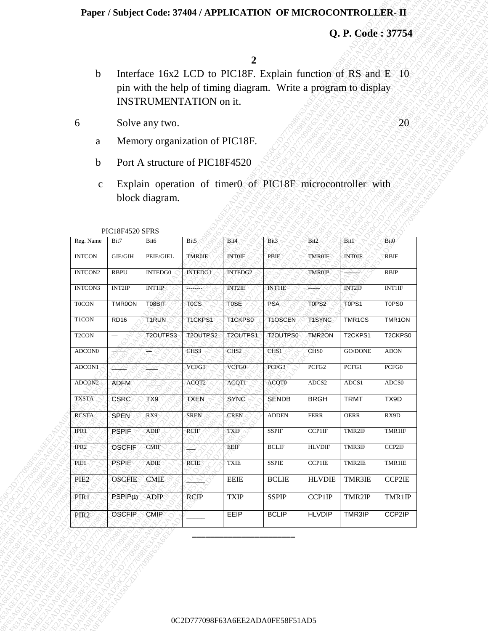#### **Paper / Subject Code: 37404 / APPLICATION OF MICROCONTROLLER- II**

- b Interface 16x2 LCD to PIC18F. Explain function of RS and E 10 pin with the help of timing diagram. Write a program to display INSTRUMENTATION on it.
- 6 Solve any two.

- a Memory organization of PIC18F.
- b Port A structure of PIC18F4520
- c Explain operation of timer0 of PIC18F microcontroller with block diagram.

|                    |                         |                  |                                |                   |                                                                                                                                  |                     | Q. P. Code: 37754    |                  |
|--------------------|-------------------------|------------------|--------------------------------|-------------------|----------------------------------------------------------------------------------------------------------------------------------|---------------------|----------------------|------------------|
|                    |                         |                  |                                | $\overline{2}$    |                                                                                                                                  |                     |                      |                  |
| $\mathbf b$        |                         |                  | INSTRUMENTATION on it.         |                   | Interface 16x2 LCD to PIC18F. Explain function of RS and E 10<br>pin with the help of timing diagram. Write a program to display |                     |                      |                  |
| 6                  |                         | Solve any two.   |                                |                   |                                                                                                                                  |                     |                      | 20               |
| a                  |                         |                  | Memory organization of PIC18F. |                   |                                                                                                                                  |                     |                      |                  |
| $\mathbf b$        |                         |                  | Port A structure of PIC18F4520 |                   |                                                                                                                                  |                     |                      |                  |
| $\mathbf{C}$       |                         |                  |                                |                   | Explain operation of timer0 of PIC18F microcontroller with                                                                       |                     |                      |                  |
|                    |                         | block diagram.   |                                |                   |                                                                                                                                  |                     |                      |                  |
|                    |                         |                  |                                |                   |                                                                                                                                  |                     |                      |                  |
| Reg. Name          | PIC18F4520 SFRS<br>Bit7 | Bit <sub>6</sub> | Bit5                           | Bit4              | Bit3                                                                                                                             | Bit2                | <b>Bit1</b>          | Bit <sub>0</sub> |
| <b>INTCON</b>      | <b>GIE/GIH</b>          | PEIE/GIEL        | TMR0IE                         | <b>INTOIE</b>     | PBIE                                                                                                                             | <b>TMR0IF</b>       | <b>INTOIF</b>        | <b>RBIF</b>      |
| INTCON2            | <b>RBPU</b>             | <b>INTEDG0</b>   | INTEDG1                        | INTEDG2           |                                                                                                                                  | <b>TMR0IP</b>       | كميتهد               | RBIP             |
| INTCON3            | <b>INT2IP</b>           | INT1IP           | ਦ∸≏ਚੇ∸ ⁄ੇ                      | <b>INT2IE</b>     | INTHE                                                                                                                            | بييه                | <b>INT2IF</b>        | <b>INT1IF</b>    |
| <b>TOCON</b>       | TMR0ON                  | T08BIT           | TOCS                           | T <sub>0</sub> SE | <b>PSA</b>                                                                                                                       | T0PS2               | T0PS1                | T0PS0            |
| <b>T1CON</b>       | RD <sub>16</sub>        | T1RUN            | T1CKPS1                        | T1CKPS0           | T1OSCEN                                                                                                                          | T1SYNC              | TMR1CS               | TMR1ON           |
| T <sub>2</sub> CON | $\qquad \qquad -$       | T2OUTPS3         | T2OUTPS2                       | T2OUTPS1          | T2OUTPS0                                                                                                                         | TMR <sub>2</sub> ON | T <sub>2</sub> CKPS1 | T2CKPS0          |
| ADCON <sub>0</sub> | $\frac{1}{\sqrt{2}}$    | T                | CHS3                           | CHS <sub>2</sub>  | CHS1                                                                                                                             | CHS <sub>0</sub>    | GO/DONE              | <b>ADON</b>      |
| ADCON1             | 7.V2                    | <u>ہ ج</u>       | VCFG1                          | VCFG0             | PCFG3                                                                                                                            | PCFG2               | PCFG1                | PCFG0            |
| ADCON2             | <b>ADFM</b>             | <u>'919</u>      | ACQT2                          | <b>ACQT1</b>      | ACQT0                                                                                                                            | ADCS2               | ADCS1                | ${\rm ADCS0}$    |
| <b>TXSTA</b>       | <b>CSRC</b>             | TX9              | <b>TXEN</b>                    | <b>SYNC</b>       | <b>SENDB</b>                                                                                                                     | <b>BRGH</b>         | <b>TRMT</b>          | TX9D             |
| <b>RCSTA</b>       | <b>SPEN</b>             | RX9              | SREN                           | <b>CREN</b>       | <b>ADDEN</b>                                                                                                                     | <b>FERR</b>         | OERR                 | RX9D             |
| <b>IPR1</b>        | <b>PSPIF</b>            | ADIF             | RCIF                           | <b>TXIF</b>       | SSPIF                                                                                                                            | CCP1IF              | TMR2IF               | TMR1IF           |
| IPR <sub>2</sub>   | OSCFIF                  | <b>CMIF</b>      |                                | EEIF              | <b>BCLIF</b>                                                                                                                     | <b>HLVDIF</b>       | TMR3IF               | CCP2IF           |
| PIE1               | <b>PSPIE</b>            | ADIE             | RCIE                           | TXIE              | <b>SSPIE</b>                                                                                                                     | <b>CCP1IE</b>       | TMR2IE               | TMR1IE           |
| PIE <sub>2</sub>   | <b>OSCFIE</b>           | <b>CMIE</b>      | Tops.                          | <b>EEIE</b>       | <b>BCLIE</b>                                                                                                                     | <b>HLVDIE</b>       | TMR3IE               | CCP2IE           |
| PIR1               | PSPIP <sub>(1)</sub>    | <b>ADIP</b>      | <b>RCIP</b>                    | <b>TXIP</b>       | <b>SSPIP</b>                                                                                                                     | CCP1IP              | TMR2IP               | TMR1IP           |
| PIR <sub>2</sub>   | <b>OSCFIP</b>           | <b>CMIP</b>      |                                | EEIP              | <b>BCLIP</b>                                                                                                                     | <b>HLVDIP</b>       | TMR3IP               | CCP2IP           |
|                    |                         |                  |                                |                   |                                                                                                                                  |                     |                      |                  |

#### PIC18F4520 SFRS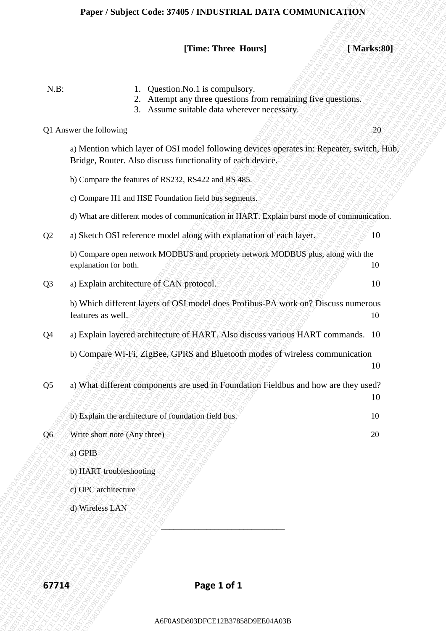# *[Time: Three Hours]* **[Marks:80]**

| $N.B$ :<br>Question.No.1 is compulsory.<br>Attempt any three questions from remaining five questions.<br>2.<br>3.<br>Assume suitable data wherever necessary.<br>Q1 Answer the following<br>a) Mention which layer of OSI model following devices operates in: Repeater, switch, Hub,<br>Bridge, Router. Also discuss functionality of each device. | 20 |
|-----------------------------------------------------------------------------------------------------------------------------------------------------------------------------------------------------------------------------------------------------------------------------------------------------------------------------------------------------|----|
|                                                                                                                                                                                                                                                                                                                                                     |    |
|                                                                                                                                                                                                                                                                                                                                                     |    |
|                                                                                                                                                                                                                                                                                                                                                     |    |
| b) Compare the features of RS232, RS422 and RS 485.                                                                                                                                                                                                                                                                                                 |    |
| c) Compare H1 and HSE Foundation field bus segments.                                                                                                                                                                                                                                                                                                |    |
| d) What are different modes of communication in HART. Explain burst mode of communication.                                                                                                                                                                                                                                                          |    |
| a) Sketch OSI reference model along with explanation of each layer.<br>Q2                                                                                                                                                                                                                                                                           | 10 |
| b) Compare open network MODBUS and propriety network MODBUS plus, along with the<br>explanation for both.                                                                                                                                                                                                                                           | 10 |
| a) Explain architecture of CAN protocol.<br>Q <sub>3</sub>                                                                                                                                                                                                                                                                                          | 10 |
| b) Which different layers of OSI model does Profibus-PA work on? Discuss numerous<br>features as well.                                                                                                                                                                                                                                              | 10 |
| a) Explain layered architecture of HART. Also discuss various HART commands. 10<br>Q <sub>4</sub>                                                                                                                                                                                                                                                   |    |
| b) Compare Wi-Fi, ZigBee, GPRS and Bluetooth modes of wireless communication                                                                                                                                                                                                                                                                        | 10 |
| a) What different components are used in Foundation Fieldbus and how are they used?<br>Q <sub>5</sub>                                                                                                                                                                                                                                               |    |
|                                                                                                                                                                                                                                                                                                                                                     | 10 |
| b) Explain the architecture of foundation field bus.                                                                                                                                                                                                                                                                                                | 10 |
| Write short note (Any three)<br>Q6                                                                                                                                                                                                                                                                                                                  | 20 |
| a) GPIB                                                                                                                                                                                                                                                                                                                                             |    |
| b) HART troubleshooting                                                                                                                                                                                                                                                                                                                             |    |
| c) OPC architecture                                                                                                                                                                                                                                                                                                                                 |    |
| d) Wireless LAN                                                                                                                                                                                                                                                                                                                                     |    |